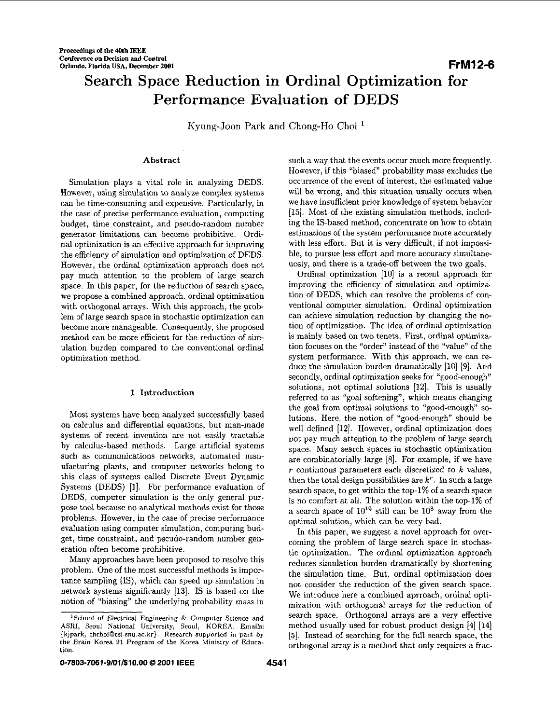# **Search Space Reduction in Ordinal Optimization for Performance Evaluation of DEDS**

Kyung-Joan Park and Chong-Ho Choi '

# Abstract

Simulation plays a vital role in analyzing DEDS. However, using simulation to analyze complex systems can he time-consuming and expensive. Particularly, in the case of precise performance evaluation, computing budget, time constraint, and pseudo-random number generator limitations can become prohibitive. Ordinal optimization is an effective approach for improving the efficiency of simulation and optimization of DEDS. However, the ordinal optimization approach does not pay much attention to the problem of large search space. In this paper, for the reduction of search space, we propose a combined approach, ordinal optimization with orthogonal arrays. With this approach, the problem of **large** search space in stochastic optimization can become more manageable. Consequently, the proposed method can he more efficient for the reduction of simulation burden compared to the conventional ordinal optimization method.

## **1** Introduction

Most systems have been analyzed successfully based on calculus and differential equations, but man-made systems of recent invention are not easily tractable by calculus-based methods. Large artificial systems such as communications networks, automated manufacturing plants, and computer networks belong to this class of systems called Discrete Event Dynamic Systems (DEDS) [l]. For performance evaluation of DEDS, computer simulation is the only general purpose tool because no analytical methods exist for those problems. However, in the case of precise performance evaluation using computer simulation, computing budget, time constraint, and pseudo-random number generation often become prohibitive.

Many approaches have been proposed to resolve this problem. One of the most successful methods is importance sampling (IS), which can speed up simulation in network systems significantly 1131. IS is based on the notion of "biasing" the underlying probability mass in

such a way that the events occur much more frequently. However, if this "biased" probability mass excludes the occurrence of the event of interest, the estimated value will be wrong, and this situation usually occurs when we have insufficient prior knowledge of system behavior (151. Most of the existing simulation methods, including the IS-based method, concentrate on how to obtain estimations of the system performance more accurately with less effort. But it is very difficult, if not impossible, to pursue less effort and more accuracy simultaneuosly, and there is a trade-off between the two goals.

Ordinal optimization [10] is a recent approach for improving the efficiency of simulation and optimization of DEDS, which can resolve the problems of conventional computer simulation. Ordinal optimization can achieve simulation reduction by changing the notion of optimization. The idea of ordinal optimization is mainly based on two tenets. First, ordinal optimization focuses on the "order" instead of the "value" of the system performance. With this approach, we can reduce the simulation burden dramatically [10] [9]. And secondly, ordinal optimization seeks for "good-enough" solutions, not optimal solutions  $[12]$ . This is usually referred to as "goal softening", which means changing the goal from optimal solutions to "good-enough" solutions. Here, the notion of "good-enough" should he well defined [12]. However, ordinal optimization does not pay much attention to the problem of large search space. Many search spaces in stochastic optimization are combinatorially large [8]. For example, if we have *r* continuous parameters each discretized to *k* values, then the total design possibilities are  $k^r$ . In such a large search space, to get within the top-1% of a search space is no comfort at all. The solution within the top-1% of a search space of  $10^{10}$  still can be  $10^8$  away from the optimal solution, which can be very bad.

In this paper, we suggest a novel approach for overcoming the problem of large search space in stochastic optimization. The ordinal optimization approach reduces simulation burden dramatically by shortening the simulation time. But, ordinal optimization does not consider the reduction of the given search space. We introduce here a combined aprroach, ordinal optimization with orthogonal arrays for the reduction of search space. Orthogonal arrays are a very effective method usually used for robust product design 141 [14] *[5].* Instead of searching for the full search space, the orthogonal array is a method that only requires a frac-

**<sup>&#</sup>x27;School of Electrical Engineering** & **Computer Science and ASRI, Seoul National University, Seoul,** KOREA. **Emails: {kjpark, chchoi~csl.snu.ac.kr). Research supported in part by the Brain Korea 21 Program of the Korea Ministry of Education.**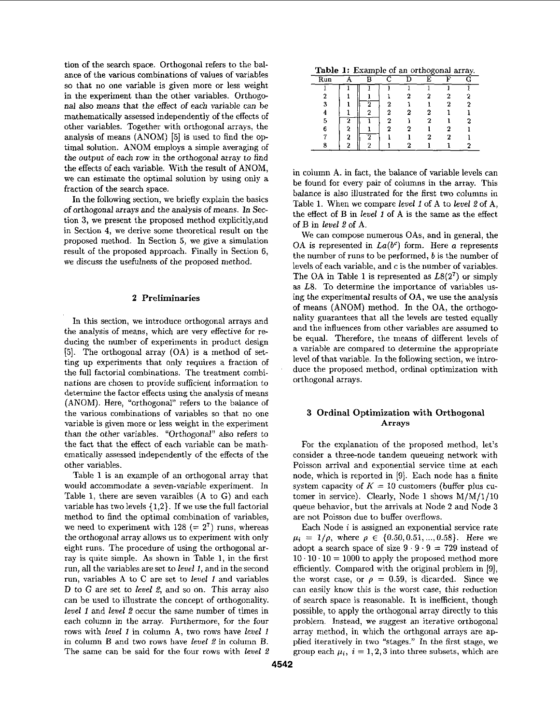tion of the search space. Orthogonal refers to the balance of the various combinations of values of variables so that no one variable is given more **or** less weight in the experiment than the other variables. Orthogonal also means that the effect of each variable can be mathematically assessed independently of the effects of other variables. Together with orthogonal arrays, the analysis of means (ANOM) **IS]** is used to find the optimal solution. **ANOM** employs a simple averaging of the output of each row in the orthogonal array to find the effects of each variable. With the result of ANOM, we can estimate the optimal solution by using only a fraction of the search space.

In the following section, we briefly explain the basics of orthogonal arrays and the analysis of means. In Section **3,** we present the proposed method explicitly,and in Section **4,** we derive some theoretical result on the proposed method. In Section *5,* we give a simulation result of the proposed approach. Finally in Section 6, we discuss the usefulness of the proposed method.

### **2** Preliminaries

In this section, we introduce orthogonal arrays and the analysis of means, which are very effective for reducing the number of experiments in product design *[5].* The orthogonal array (OA) is a method of setting up experiments that only requires a fraction **of**  the full factorial combinations. The treatment combinations are chosen to provide sufficient information to determine the factor effects using the analysis of means (ANOM). Here, "orthogonal" refers to the balance of the various combinations of variables so that no one variable is given more or less weight in the experiment than the other variables. "Orthogonal" also refers to the fact that the effect of each variable can be mathematically assessed independently of the effects of the other variables.

Table **1** is an example of an orthogonal array that would accommodate a seven-variable experiment. In Table 1, there are seven varaibles **(A** to G) and each variable has two levels **{1,2}.** If we use the full factorial method to find the optimal combination of variables, we need to experiment with  $128 (= 2<sup>7</sup>)$  runs, whereas the orthogonal array allows us to experiment with only eight runs. The procedure of using the orthogonal array is quite simple. **As** shown in Table **1,** in the first run, all the variables are set to *level 1,* and in the second run, variables A to C are set to *level 1* and variables D to G are set to *level* 2, and so on. This array also can be used to illustrate the concept of orthogonality. *level 1* and *level* 2 occur the same number of times in each column in the array. Furthermore, for the four rows with *level 1* in column **A,** two rows have *level 1*  in column **B** and two rows have *level* 2 in column B. The same can be said for the four rows with *level 2* 

**Table 1:** Example of an orthogonal array.

| Run |   | n |   |   | E | г. |   |  |
|-----|---|---|---|---|---|----|---|--|
|     |   |   |   |   | ٦ |    |   |  |
| 2   |   |   |   |   |   | 2  |   |  |
| 3   |   | റ | 2 |   |   | 2  |   |  |
|     |   |   | 2 | 2 |   |    |   |  |
| 5   | 2 |   | 2 |   | 2 |    |   |  |
| 6   | 2 |   | œ | 2 |   | 2  |   |  |
|     | ο | ച |   |   | 2 | 2  |   |  |
| о   | 2 | ີ |   | ົ |   |    | י |  |

in column **A.** in fact, the balance of variable levels can be found for every pair of columns in the array. This balance is also illustrated for the first two columns in Table 1. When we compare *level 1* of A to *level* 2of **A,**  the effect of **B** in *level 1* of **A** is the same **as** the effect of B in *level* 2 of **A.** 

We can compose numerous OAs, and in general, the OA is represented in  $La(b^c)$  form. Here a represents the number of runs to be performed, *b* is the number of levels of each variable, and cis the number of variables. The OA in Table 1 is represented as *L8(27)* or simply as L8. To determine the importance of variables using the experimental results of **OA,** we use the analysis of means (ANOM) method. In the **OA,** the orthogonality guarantees that all the levels are tested equally and the influences from other variables are assumed to be equal. Therefore, the means of different levels of a variable are compared to determine the appropriate level of that variable. In the following section, we introduce the proposed method, ordinal optimization with orthogonal arrays.

### **3** Ordinal Optimization with Orthogonal **Arrays**

For the explanation of the proposed method, let's consider a three-node tandem queueing network with Poisson arrival and exponential service time at each node, which is reported in **[9].** Each node has a finite system capacity of  $K = 10$  customers (buffer plus cutomer in service). Clearly, Node 1 shows M/M/1/10 queue behavior, but the arrivals at Node 2 and Node **3**  are not Poisson due to buffer overflows.

Each Node *i* is assigned an exponential service rate  $\mu_i = 1/\rho$ , where  $\rho \in \{0.50, 0.51, ..., 0.58\}$ . Here we adopt a search space of size  $9 \cdot 9 \cdot 9 = 729$  instead of  $10 \cdot 10 \cdot 10 = 1000$  to apply the proposed method more efficiently. Compared with the original problem in **[9],**  the worst case, or  $\rho = 0.59$ , is dicarded. Since we can easily know this is the worst case, this reduction of search space is reasonable. It is inefficient, though possible, to apply the orthogonal array directly to this problem. Instead, **we** suggest an iterative orthogonal array method, in which the orthgonal arrays are applied iteratively in two "stages." In the first stage, we group each  $\mu_i$ ,  $i = 1,2,3$  into three subsets, which are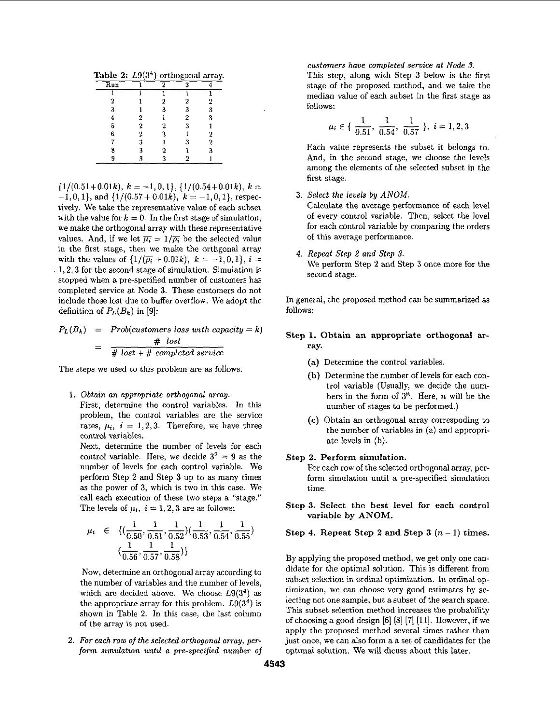**Table 2:** L9(34) orthogonal array.

| Run |   | 9 | ۰              |   |
|-----|---|---|----------------|---|
|     |   |   |                |   |
| 2   |   | 2 | 2              | 2 |
| 3   |   | 3 | 3              | 3 |
|     |   |   | $\overline{2}$ | 3 |
| 5   | 2 | 2 | 3              |   |
| 6   | 2 |   |                | 2 |
|     |   |   | 3              | 2 |
|     |   | 2 |                |   |
|     |   |   |                |   |

 $\{1/(0.51+0.01k), k = -1, 0, 1\}, \{1/(0.54+0.01k), k =$  $-1,0,1\}$ , and  $\{1/(0.57+0.01k), k=-1,0,1\}$ , respectively. We take the representative value of each subset with the value for  $k = 0$ . In the first stage of simulation, we make the orthogonal array with these representative values. And, if we let  $\overline{\mu_i} = 1/\overline{\rho_i}$  be the selected value in the first stage, then we make the orthgonal array with the values of  $\{1/(\bar{p_i}+0.01k), k = -1,0,1\}, i =$ 1,2,3 for the second stage of simulation. Simulation is stopped when a pre-specified number of customers has completed service at Node 3. These customers do not include those lost due to buffer overflow. We adopt the definition of  $P_L(B_k)$  in [9]:

 $P_L(B_k) = Prob(customers loss with capacity = k)$  $=$   $\frac{\text{\# lost}}{\text{\# lost + \# completed service}}$ 

The steps we used to this problem are **as** follows.

1. *Obtain an appropriate orthogonal array.* 

First, determine the control variables. In this problem, the control variables are the service rates,  $\mu_i$ ,  $i = 1, 2, 3$ . Therefore, we have three control variables.

Next, determine the number of levels for each control variable. Here, we decide  $3^2 = 9$  as the number of levels for each control variable. We perform Step *2* and Step **3** up to **as** many times as the power of 3, which is two in this case. We call each execution of these two steps a "stage." The levels of  $\mu_i$ ,  $i = 1, 2, 3$  are as follows:

variable by ANOM.  
\n
$$
\mu_i \in \{(\frac{1}{0.50}, \frac{1}{0.51}, \frac{1}{0.52})(\frac{1}{0.53}, \frac{1}{0.54}, \frac{1}{0.55})
$$
  
\n $(\frac{1}{0.56}, \frac{1}{0.57}, \frac{1}{0.58})\}$   
\nBy applying the proposed method, we get only one can-

Now, determine an orthogonal array according to the number of variables and the number of levels, which are decided above, We choose L9(34) **as**  the appropriate array for this problem.  $L9(3^4)$  is shown in Table **2.** In this case, the last of the array is not used.

*2. For each row of the selected orthogonal* **array,** *per*form *simulation until a pre-specified number* **of**  *customers have completed service ot Nude 3.*  This step, along with Step 3 below is the first stage of the proposed method, and we take the stage of the proposed method, and we take the<br>
median value of each subset in the first stage as<br>
follows:<br>  $\mu_i \in \left\{ \frac{1}{0.51}, \frac{1}{0.54}, \frac{1}{0.57} \right\}, i = 1, 2, 3$ follows:

$$
u_i \in \{ \frac{1}{0.51}, \frac{1}{0.54}, \frac{1}{0.57} \}, i = 1, 2, 3
$$

Each value represents the subset it belongs to. And, in the second stage, we choose the levels among the elements of the selected subset in the first stage.

3. *Select the levels* by *ANOM.* 

Calculate the average performance of each level of every control variable. Then, select the level **for** each control variable by comparing the orders of this average performance.

**4.** *Repeat Step 2 and Step 3.*  We perform Step *2* and Step 3 once more for the second stage.

In general, the proposed method can be summarized as follows:

# **Step 1. Obtain an appropriate orthogonal array.**

- **(a)** Determine the control variables
- **(b)** Determine the number of levels for each control variable (Usually, we decide the numbers in the form of 3". Here, *n* will be the number of stages to be performed.)
- **(c)** Obtain an orthogonal array correspoding to the number of variables in (a) and appropriate levels in (b).

# **Step 2. Perform simulation.**

For each row of the selected orthogonal array, perform simulation until a pre-specified simulation time.

**Step 3. Select the best level for each control variable by ANOM.** 

# **Step 4. Repeat Step 2 and Step 3**  $(n-1)$  times.

didate for the optimal solution. This is different from subset selection in ordinal optimization. In ordinal optimization, we can choose very good estimates by selecting not one sample, but a subset of the search space. This subset selection method increases the probability of choosing a good design **[6] [SI [7]** [ll]. However, if we apply the proposed method several times rather than just once, we can also form a a set of candidates for the optimal solution. We will dicuss about this **later.**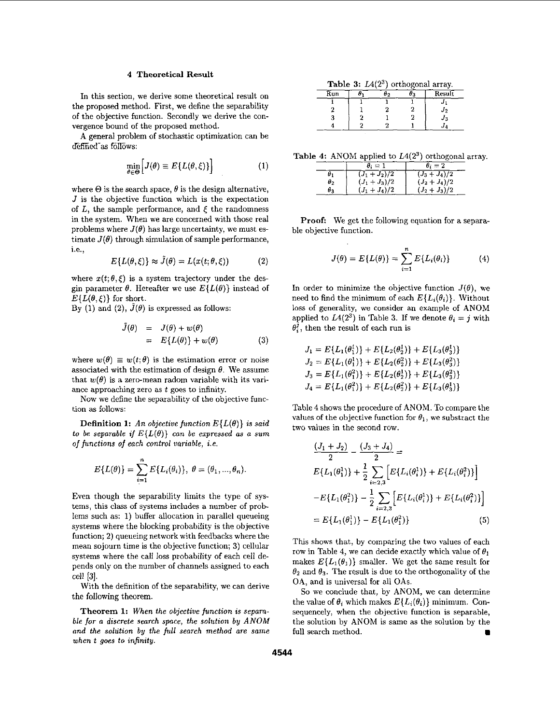#### **4** Theoretical Result

In this section, we derive some theoretical result on the proposed method. First, we define the separability of the objective function. Secondly we derive the convergence bound of the proposed method.

**A** general problem of stochastic optimization can be defined as follows:

$$
\min_{\theta \in \Theta} \Big[ J(\theta) \equiv E\{L(\theta, \xi)\} \Big] \tag{1}
$$

where  $\Theta$  is the search space,  $\theta$  is the design alternative, *J* is the objective function which is the expectation of  $L$ , the sample performance, and  $\xi$  the randomness in the system. When we are concerned with those real problems where  $J(\theta)$  has large uncertainty, we must estimate  $J(\theta)$  through simulation of sample performance, i.e.,

$$
E\{L(\theta,\xi)\} \approx \tilde{J}(\theta) = L(x(t;\theta,\xi))
$$
 (2)

where  $x(t; \theta, \xi)$  is a system trajectory under the desgin parameter  $\theta$ . Hereafter we use  $E\{L(\theta)\}\$ instead of  $E\{L(\theta,\xi)\}\$ for short.

By (1) and (2),  $\hat{J}(\theta)$  is expressed as follows:

$$
\tilde{J}(\theta) = J(\theta) + w(\theta) \n= E\{L(\theta)\} + w(\theta)
$$
\n(3)

where  $w(\theta) \equiv w(t;\theta)$  is the estimation error or noise associated with the estimation of design  $\theta$ . We assume that  $w(\theta)$  is a zero-mean radom variable with its variance approaching zero as *t* goes to infinity.

Now we define the separability of the objective function **as** follows:

**Definition 1:** An objective function  $E\{L(\theta)\}\$ is said *to be separable if*  $E\{L(\theta)\}$  *can be expressed as a sum of functions of each control variable, i.e.* 

$$
E\{L(\theta)\} = \sum_{i=1}^{n} E\{L_i(\theta_i)\}, \ \theta = (\theta_1, ..., \theta_n).
$$

Even though the separability limits the type of systems, this class of systems includes a number of problems such as: 1) buffer allocation in parallel queueing systems where the blocking probability is the objective function; **2)** queueing network with feedbacks where the mean sojourn time is the objective function; **3)** cellular systems where the call loss probability of each cell depends only on the number of channels assigned to each cell **131.** 

With the definition of the separability, we can derive the following theorem.

Theorem **1:** *When the objective function is separable for* a *discrete search* **space,** *the solution by ANOM and the solution by the full search method are same when t goes to infinity.* 

|     |    | <b>Table 3:</b> $L4(2^{\circ})$ orthogonal array. |
|-----|----|---------------------------------------------------|
| Run | ひっ | Result                                            |
|     |    |                                                   |
|     |    | J2                                                |
|     |    | $J_3$                                             |
|     |    |                                                   |

Table 4: ANOM applied to  $L4(2^3)$  orthogonal array.

|            | $\theta_i=1$  | $\theta_i=2$             |
|------------|---------------|--------------------------|
| $\theta_1$ | $(J_1+J_2)/2$ | $(J_3+J_4)/\overline{2}$ |
| $\theta_2$ | $(J_1+J_3)/2$ | $(J_2+J_4)/2$            |
| $\theta_3$ | $(J_1+J_4)/2$ | $(J_2+J_3)/2$            |

Proof: We get the following equation for a separable objective function.

$$
J(\theta) = E\{L(\theta)\} = \sum_{i=1}^{n} E\{L_i(\theta_i)\}
$$
 (4)

In order to minimize the objective function  $J(\theta)$ , we need to find the minimum of each  $E\{L_i(\theta_i)\}\$ . Without loss of generality, we consider an example of ANOM applied to  $L4(2^3)$  in Table 3. If we denote  $\theta_i = j$  with  $\theta_i^j$ , then the result of each run is

$$
J_1 = E\{L_1(\theta_1^1)\} + E\{L_2(\theta_2^1)\} + E\{L_3(\theta_3^1)\}
$$
  
\n
$$
J_2 = E\{L_1(\theta_1^1)\} + E\{L_2(\theta_2^2)\} + E\{L_3(\theta_3^2)\}
$$
  
\n
$$
J_3 = E\{L_1(\theta_1^2)\} + E\{L_2(\theta_2^1)\} + E\{L_3(\theta_3^2)\}
$$
  
\n
$$
J_4 = E\{L_1(\theta_1^2)\} + E\{L_2(\theta_2^2)\} + E\{L_3(\theta_3^1)\}
$$

Table **4** shows the procedure of ANOM. To compare the values of the objective function for  $\theta_1$ , we substract the two values in the second row.

$$
\frac{(J_1 + J_2)}{2} - \frac{(J_3 + J_4)}{2} =
$$
\n
$$
E\{L_1(\theta_1^1)\} + \frac{1}{2} \sum_{i=2,3} \left[ E\{L_i(\theta_i^1)\} + E\{L_i(\theta_i^2)\} \right]
$$
\n
$$
-E\{L_1(\theta_1^2)\} - \frac{1}{2} \sum_{i=2,3} \left[ E\{L_i(\theta_i^1)\} + E\{L_i(\theta_i^2)\} \right]
$$
\n
$$
= E\{L_1(\theta_1^1)\} - E\{L_1(\theta_1^2)\} \tag{5}
$$

This shows that, by comparing the two values of each row in Table 4, we can decide exactly which value of  $\theta_1$ makes  $E\{L_1(\theta_1)\}\$  smaller. We get the same result for  $\theta_2$  and  $\theta_3$ . The result is due to the orthogonality of the OA, and is universal for all OAs.

So we conclude that, by ANOM, we can determine the value of  $\theta_i$  which makes  $E\{L_i(\theta_i)\}\$ minimum. Consequencely, when the objective function is separable, the solution by ANOM is same as the solution by the full search method.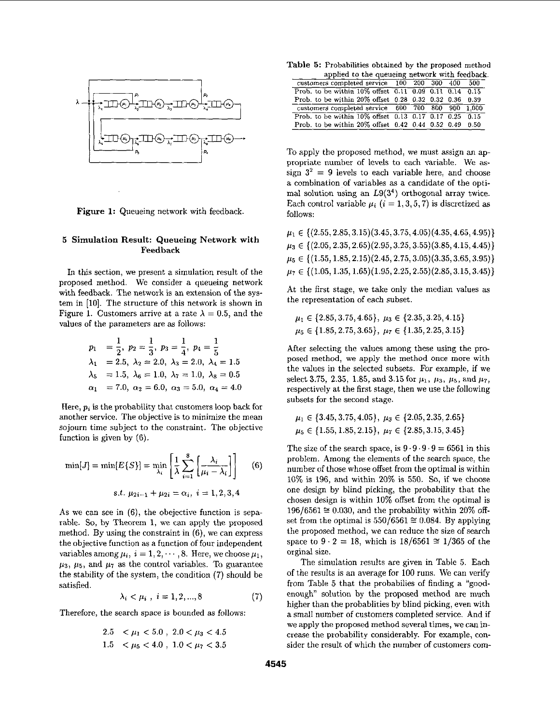

Figure **1:** Queueing network with feedback.

### *<sup>5</sup>*Simulation Result: Queueing Network with Feedback

In this section, we present a simulation result of the proposed method. We consider a queueing network with feedback. The network is an extension of the system in **[lo].** The structure of this network is shown in Figure 1. Customers arrive at a rate  $\lambda = 0.5$ , and the values **of** the parameters are as follows:

$$
p_1 = \frac{1}{2}, p_2 = \frac{1}{3}, p_3 = \frac{1}{4}, p_4 = \frac{1}{5}
$$
  
\n
$$
\lambda_1 = 2.5, \lambda_2 = 2.0, \lambda_3 = 2.0, \lambda_4 = 1.5
$$
  
\n
$$
\lambda_5 = 1.5, \lambda_6 = 1.0, \lambda_7 = 1.0, \lambda_8 = 0.5
$$
  
\n
$$
\alpha_1 = 7.0, \alpha_2 = 6.0, \alpha_3 = 5.0, \alpha_4 = 4.0
$$

Here, *pi* is the probability that customers loop back for another service. The objective is to minimize the mean sojourn time subject to the constraint. The objective function is given by (6).

$$
\min[J] = \min[E\{S\}] = \min_{\lambda_i} \left[ \frac{1}{\lambda} \sum_{i=1}^8 \left[ \frac{\lambda_i}{\mu_i - \lambda_i} \right] \right] \tag{6}
$$

$$
s.t. \mu_{2i-1} + \mu_{2i} = \alpha_i, i = 1, 2, 3, 4
$$

As we can see in (6), the obejective function is separable. So, by Theorem **l,** we can apply the proposed method. By using the constraint in **(6),** we can express the objective function as a function of four independent variables among  $\mu_i$ ,  $i = 1, 2, \dots$ , 8. Here, we choose  $\mu_1$ ,  $\mu_3$ ,  $\mu_5$ , and  $\mu_7$  as the control variables. To guarantee the stability of the system, the condition **(7)** should be satisfied.

$$
\lambda_i < \mu_i \; , \; i = 1, 2, \dots, 8 \tag{7}
$$

Therefore, the search space is bounded **as** follows:

$$
2.5 < \mu_1 < 5.0 , 2.0 < \mu_3 < 4.5
$$
  

$$
1.5 < \mu_5 < 4.0 , 1.0 < \mu_7 < 3.5
$$

Table *5:* Probabilities obtained by the proposed method applied **to** the queueing network with feedback.

|  |  | applied to the queueing network with recupacity<br>customers completed service 100 200 300 400 500<br>Prob. to be within 10% offset 0.11 0.09 0.11 0.14 0.15<br>Prob. to be within 20% offset 0.28 0.32 0.32 0.36 0.39<br>customers completed service 600 700 800 900 1,000<br>Prob. to be within $10\%$ offset $0.13$ $0.17$ $0.17$ $0.25$ $0.15$<br>Prob. to be within 20% offset 0.42 0.44 0.52 0.49 0.50 |
|--|--|--------------------------------------------------------------------------------------------------------------------------------------------------------------------------------------------------------------------------------------------------------------------------------------------------------------------------------------------------------------------------------------------------------------|

To apply the proposed method, we must assign an appropriate number of levels to each variable. We **as**sign  $3^2 = 9$  levels to each variable here, and choose a combination of variables **as** a candidate of the optimal solution using an **L9(34)** orthogonal array twice. Each control variable  $\mu_i$  ( $i = 1, 3, 5, 7$ ) is discretized as follows:

|  | $\mu_1 \in \{ (2.55, 2.85, 3.15), (3.45, 3.75, 4.05), (4.35, 4.65, 4.95) \}$ |
|--|------------------------------------------------------------------------------|
|  | $\mu_3 \in \{(2.05, 2.35, 2.65)(2.95, 3.25, 3.55)(3.85, 4.15, 4.45)\}\$      |
|  | $\mu_5 \in \{(1.55, 1.85, 2.15)(2.45, 2.75, 3.05)(3.35, 3.65, 3.95)\}\$      |
|  | $\mu_7 \in \{(1.05, 1.35, 1.65)(1.95, 2.25, 2.55)(2.85, 3.15, 3.45)\}\$      |

**At** the first stage, we take only the median values as the representation of each subset.

$$
\mu_1 \in \{2.85, 3.75, 4.65\}, \ \mu_3 \in \{2.35, 3.25, 4.15\}
$$
\n
$$
\mu_5 \in \{1.85, 2.75, 3.65\}, \ \mu_7 \in \{1.35, 2.25, 3.15\}
$$

After selecting the values among these using the proposed method, we apply the method once more with the values in the selected subsets. For example, if we select 3.75, 2.35, 1.85, and 3.15 for  $\mu_1$ ,  $\mu_3$ ,  $\mu_5$ , and  $\mu_7$ , respectively at the first stage, then we use the following subsets for the second stage.

$$
\mu_1 \in \{3.45, 3.75, 4.05\}, \ \mu_3 \in \{2.05, 2.35, 2.65\}
$$
\n
$$
\mu_5 \in \{1.55, 1.85, 2.15\}, \ \mu_7 \in \{2.85, 3.15, 3.45\}
$$

The size of the search space, is  $9 \cdot 9 \cdot 9 \cdot 9 = 6561$  in this problem. Among the elements of the search space, the number of those whose offset from the optimal is within **10%** is **196,** and within **20%** is **550.** So, if we choose one design by blind picking, the probability that the chosen design is within **10%** offset from the optimal is  $196/6561 \approx 0.030$ , and the probability within 20% offset from the optimal is  $550/6561 \approx 0.084$ . By applying the proposed method, we can reduce the size of search space to  $9 \cdot 2 = 18$ , which is  $18/6561 \approx 1/365$  of the orginal size.

The simulation results are given in Table **5.** Each of the results is an average for **100** runs. We can verify from Table **5** that the prohabilies of finding a "goodenough" solution by the proposed method are much higher than the probablities by blind picking, even with a small number of customers completed service. And if we apply the proposed method several times, we can increase the probability considerably. For example, consider the result of which the number of customers com